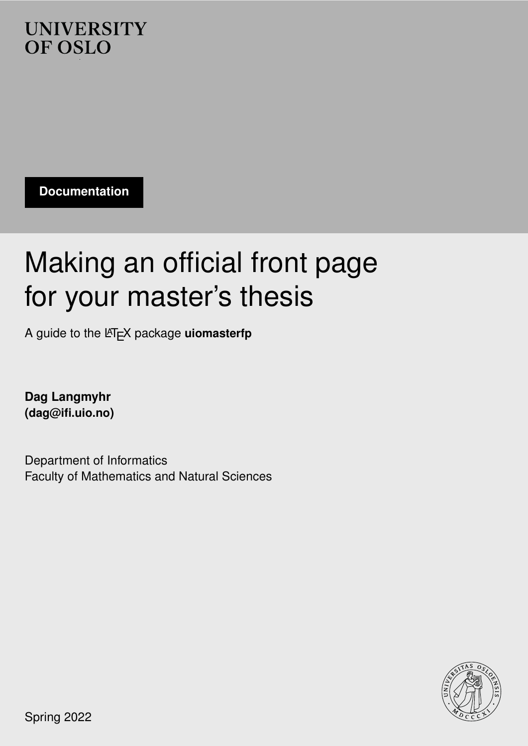## **UNIVERSITY** OF OSLO .

**Documentation**

# Making an official front page for your master's thesis

A guide to the LAT<sub>E</sub>X package **uiomasterfp** 

**Dag Langmyhr (<dag@ifi.uio.no>)**

Department of Informatics Faculty of Mathematics and Natural Sciences



Spring 2022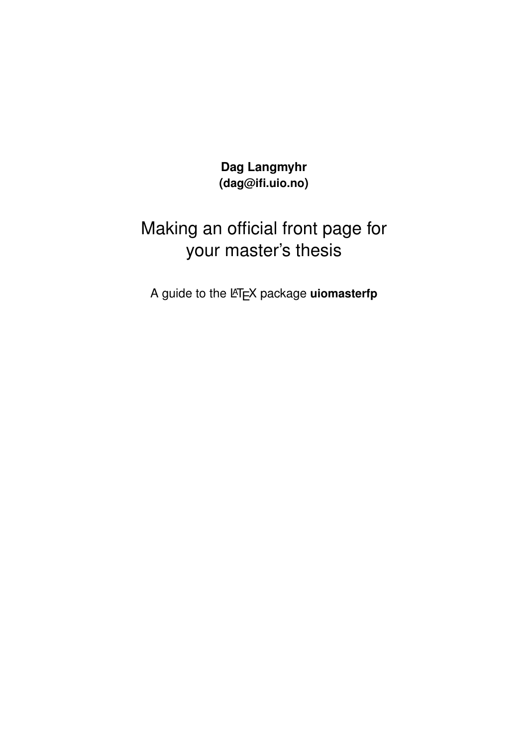**Dag Langmyhr (<dag@ifi.uio.no>)**

# Making an official front page for your master's thesis

A guide to the L<sup>AT</sup>EX package **uiomasterfp**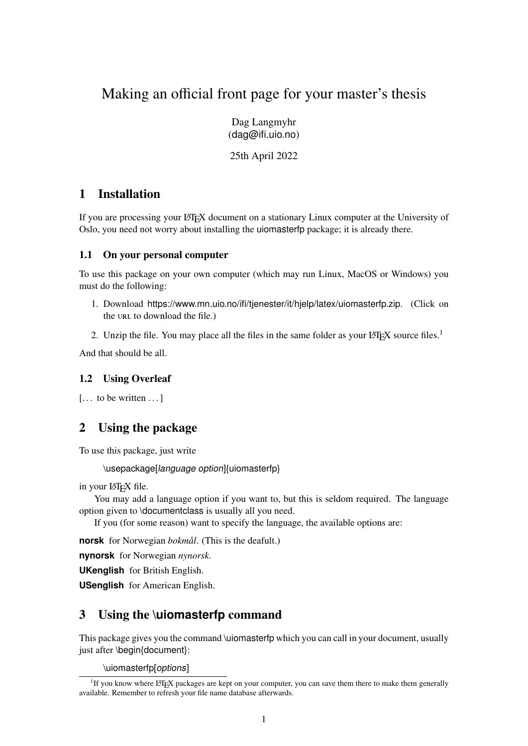## Making an official front page for your master's thesis

Dag Langmyhr (<dag@ifi.uio.no>)

25th April 2022

## 1 Installation

If you are processing your LATEX document on a stationary Linux computer at the University of Oslo, you need not worry about installing the uiomasterfp package; it is already there.

#### 1.1 On your personal computer

To use this package on your own computer (which may run Linux, MacOS or Windows) you must do the following:

- 1. Download <https://www.mn.uio.no/ifi/tjenester/it/hjelp/latex/uiomasterfp.zip>. (Click on the url to download the file.)
- 2. Unzip the file. You may place all the files in the same folder as your LATEX source files.<sup>[1](#page-2-0)</sup>

And that should be all.

#### 1.2 Using Overleaf

```
[\dots to be written \dots]
```
### 2 Using the package

To use this package, just write

\usepackage[language option]{uiomasterfp}

```
in your LATEX file.
```
You may add a language option if you want to, but this is seldom required. The language option given to \documentclass is usually all you need.

If you (for some reason) want to specify the language, the available options are:

**norsk** for Norwegian *bokmål*. (This is the deafult.)

**nynorsk** for Norwegian *nynorsk*.

**UKenglish** for British English.

**USenglish** for American English.

### 3 Using the **\uiomasterfp** command

This package gives you the command \uiomasterfp which you can call in your document, usually just after \begin{document}:

\uiomasterfp[options]

<span id="page-2-0"></span><sup>&</sup>lt;sup>1</sup>If you know where L<sup>AT</sup>EX packages are kept on your computer, you can save them there to make them generally available. Remember to refresh your file name database afterwards.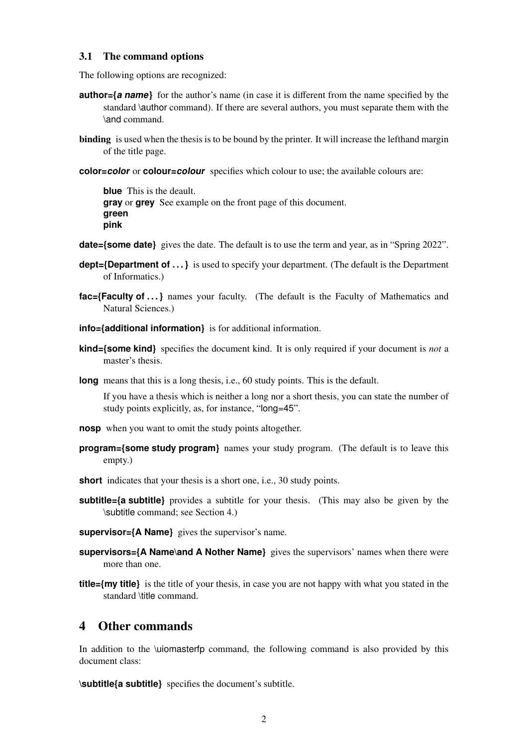#### 3.1 The command options

The following options are recognized:

- **author={a name}** for the author's name (in case it is different from the name specified by the standard \author command). If there are several authors, you must separate them with the \and command.
- binding is used when the thesis is to be bound by the printer. It will increase the lefthand margin of the title page.
- **color=color** or **colour=colour** specifies which colour to use; the available colours are:

**blue** This is the deault. **gray** or **grey** See example on the front page of this document. **green pink**

- **date={some date}** gives the date. The default is to use the term and year, as in "Spring 2022".
- **dept={Department of ...}** is used to specify your department. (The default is the Department of Informatics.)
- **fac={Faculty of ...}** names your faculty. (The default is the Faculty of Mathematics and Natural Sciences.)
- **info={additional information}** is for additional information.
- **kind={some kind}** specifies the document kind. It is only required if your document is *not* a master's thesis.
- **long** means that this is a long thesis, i.e., 60 study points. This is the default.

If you have a thesis which is neither a long nor a short thesis, you can state the number of study points explicitly, as, for instance, "long=45".

- **nosp** when you want to omit the study points altogether.
- **program={some study program}** names your study program. (The default is to leave this empty.)
- **short** indicates that your thesis is a short one, i.e., 30 study points.
- **subtitle={a subtitle}** provides a subtitle for your thesis. (This may also be given by the \subtitle command; see Section [4.](#page-3-0))
- **supervisor={A Name}** gives the supervisor's name.
- **supervisors={A Name\and A Nother Name}** gives the supervisors' names when there were more than one.
- **title={my title}** is the title of your thesis, in case you are not happy with what you stated in the standard \title command.

#### <span id="page-3-0"></span>4 Other commands

In addition to the \uiomasterfp command, the following command is also provided by this document class:

**\subtitle{a subtitle}** specifies the document's subtitle.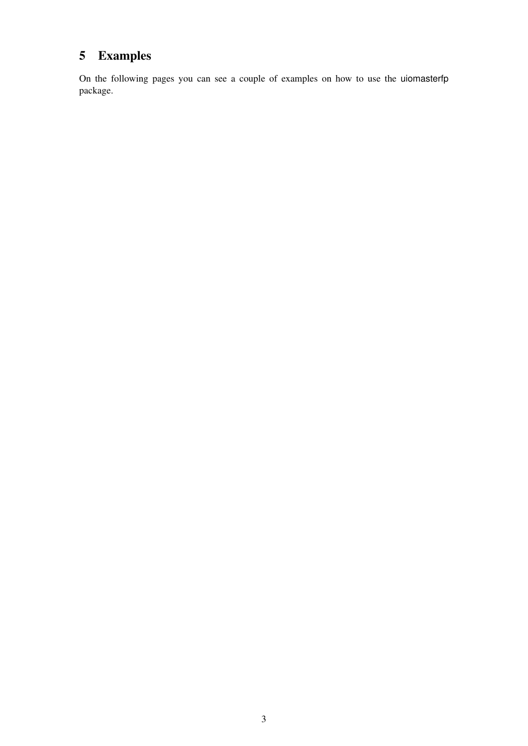# 5 Examples

On the following pages you can see a couple of examples on how to use the uiomasterfp package.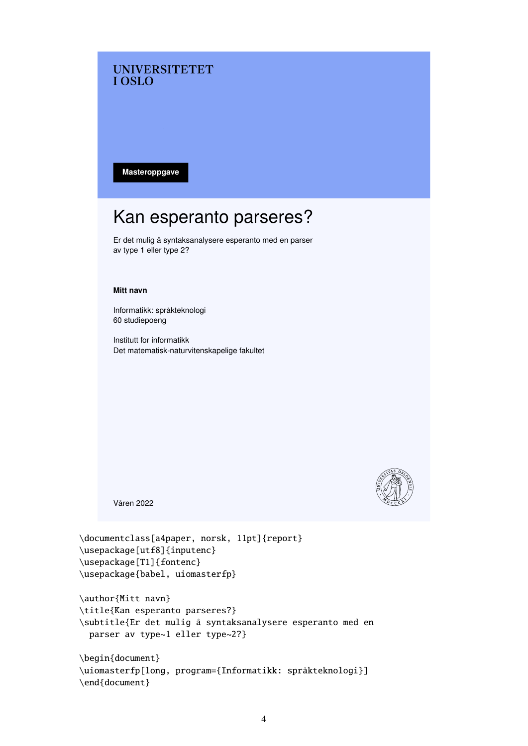#### **UNIVERSITETET TOSLO**

**Masteroppgave**

# Kan esperanto parseres?

Er det mulig å syntaksanalysere esperanto med en parser av type 1 eller type 2?

#### **Mitt navn**

Informatikk: språkteknologi 60 studiepoeng

Institutt for informatikk Det matematisk-naturvitenskapelige fakultet



Våren 2022

```
\documentclass[a4paper, norsk, 11pt]{report}
\usepackage[utf8]{inputenc}
\usepackage[T1]{fontenc}
\usepackage{babel, uiomasterfp}
```

```
\author{Mitt navn}
\title{Kan esperanto parseres?}
\subtitle{Er det mulig å syntaksanalysere esperanto med en
 parser av type~1 eller type~2?}
```

```
\begin{document}
\uiomasterfp[long, program={Informatikk: språkteknologi}]
\end{document}
```